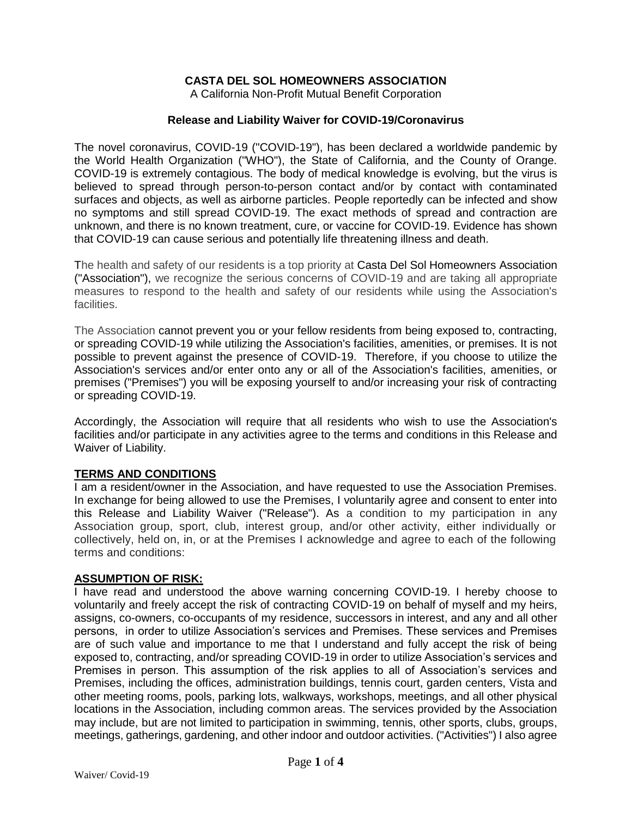# **CASTA DEL SOL HOMEOWNERS ASSOCIATION**

A California Non-Profit Mutual Benefit Corporation

#### **Release and Liability Waiver for COVID-19/Coronavirus**

The novel coronavirus, COVID-19 ("COVID-19"), has been declared a worldwide pandemic by the World Health Organization ("WHO"), the State of California, and the County of Orange. COVID-19 is extremely contagious. The body of medical knowledge is evolving, but the virus is believed to spread through person-to-person contact and/or by contact with contaminated surfaces and objects, as well as airborne particles. People reportedly can be infected and show no symptoms and still spread COVID-19. The exact methods of spread and contraction are unknown, and there is no known treatment, cure, or vaccine for COVID-19. Evidence has shown that COVID-19 can cause serious and potentially life threatening illness and death.

The health and safety of our residents is a top priority at Casta Del Sol Homeowners Association ("Association"), we recognize the serious concerns of COVID-19 and are taking all appropriate measures to respond to the health and safety of our residents while using the Association's facilities.

The Association cannot prevent you or your fellow residents from being exposed to, contracting, or spreading COVID-19 while utilizing the Association's facilities, amenities, or premises. It is not possible to prevent against the presence of COVID-19. Therefore, if you choose to utilize the Association's services and/or enter onto any or all of the Association's facilities, amenities, or premises ("Premises") you will be exposing yourself to and/or increasing your risk of contracting or spreading COVID-19.

Accordingly, the Association will require that all residents who wish to use the Association's facilities and/or participate in any activities agree to the terms and conditions in this Release and Waiver of Liability.

## **TERMS AND CONDITIONS**

I am a resident/owner in the Association, and have requested to use the Association Premises. In exchange for being allowed to use the Premises, I voluntarily agree and consent to enter into this Release and Liability Waiver ("Release"). As a condition to my participation in any Association group, sport, club, interest group, and/or other activity, either individually or collectively, held on, in, or at the Premises I acknowledge and agree to each of the following terms and conditions:

#### **ASSUMPTION OF RISK:**

I have read and understood the above warning concerning COVID-19. I hereby choose to voluntarily and freely accept the risk of contracting COVID-19 on behalf of myself and my heirs, assigns, co-owners, co-occupants of my residence, successors in interest, and any and all other persons, in order to utilize Association's services and Premises. These services and Premises are of such value and importance to me that I understand and fully accept the risk of being exposed to, contracting, and/or spreading COVID-19 in order to utilize Association's services and Premises in person. This assumption of the risk applies to all of Association's services and Premises, including the offices, administration buildings, tennis court, garden centers, Vista and other meeting rooms, pools, parking lots, walkways, workshops, meetings, and all other physical locations in the Association, including common areas. The services provided by the Association may include, but are not limited to participation in swimming, tennis, other sports, clubs, groups, meetings, gatherings, gardening, and other indoor and outdoor activities. ("Activities") I also agree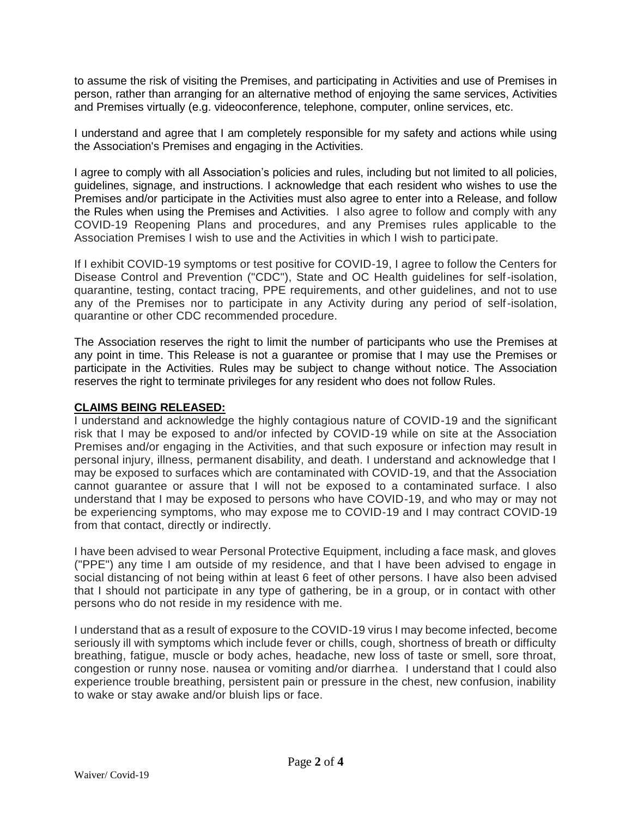to assume the risk of visiting the Premises, and participating in Activities and use of Premises in person, rather than arranging for an alternative method of enjoying the same services, Activities and Premises virtually (e.g. videoconference, telephone, computer, online services, etc.

I understand and agree that I am completely responsible for my safety and actions while using the Association's Premises and engaging in the Activities.

I agree to comply with all Association's policies and rules, including but not limited to all policies, guidelines, signage, and instructions. I acknowledge that each resident who wishes to use the Premises and/or participate in the Activities must also agree to enter into a Release, and follow the Rules when using the Premises and Activities. I also agree to follow and comply with any COVID-19 Reopening Plans and procedures, and any Premises rules applicable to the Association Premises I wish to use and the Activities in which I wish to participate.

If I exhibit COVID-19 symptoms or test positive for COVID-19, I agree to follow the Centers for Disease Control and Prevention ("CDC"), State and OC Health guidelines for self-isolation, quarantine, testing, contact tracing, PPE requirements, and other guidelines, and not to use any of the Premises nor to participate in any Activity during any period of self-isolation, quarantine or other CDC recommended procedure.

The Association reserves the right to limit the number of participants who use the Premises at any point in time. This Release is not a guarantee or promise that I may use the Premises or participate in the Activities. Rules may be subject to change without notice. The Association reserves the right to terminate privileges for any resident who does not follow Rules.

## **CLAIMS BEING RELEASED:**

I understand and acknowledge the highly contagious nature of COVID-19 and the significant risk that I may be exposed to and/or infected by COVID-19 while on site at the Association Premises and/or engaging in the Activities, and that such exposure or infection may result in personal injury, illness, permanent disability, and death. I understand and acknowledge that I may be exposed to surfaces which are contaminated with COVID-19, and that the Association cannot guarantee or assure that I will not be exposed to a contaminated surface. I also understand that I may be exposed to persons who have COVID-19, and who may or may not be experiencing symptoms, who may expose me to COVID-19 and I may contract COVID-19 from that contact, directly or indirectly.

I have been advised to wear Personal Protective Equipment, including a face mask, and gloves ("PPE") any time I am outside of my residence, and that I have been advised to engage in social distancing of not being within at least 6 feet of other persons. I have also been advised that I should not participate in any type of gathering, be in a group, or in contact with other persons who do not reside in my residence with me.

I understand that as a result of exposure to the COVID-19 virus I may become infected, become seriously ill with symptoms which include fever or chills, cough, shortness of breath or difficulty breathing, fatigue, muscle or body aches, headache, new loss of taste or smell, sore throat, congestion or runny nose. nausea or vomiting and/or diarrhea. I understand that I could also experience trouble breathing, persistent pain or pressure in the chest, new confusion, inability to wake or stay awake and/or bluish lips or face.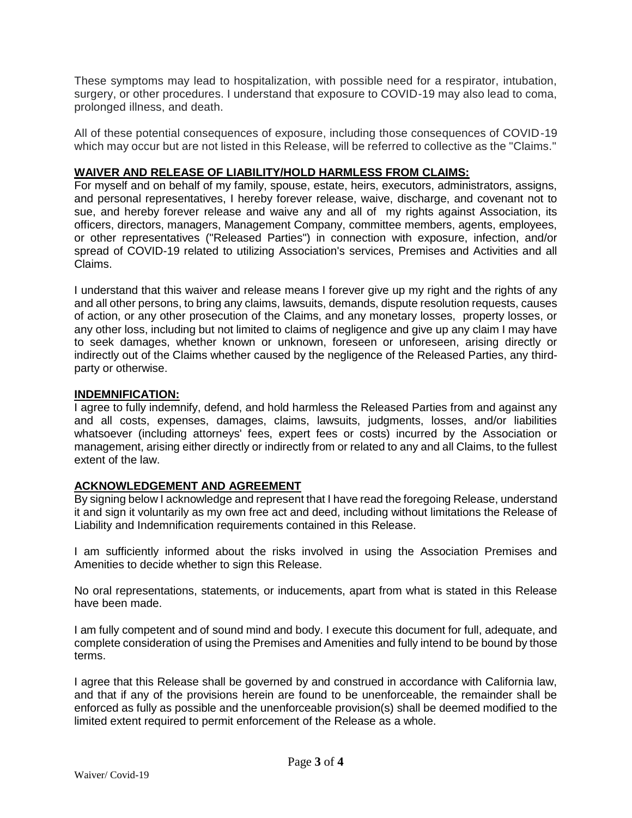These symptoms may lead to hospitalization, with possible need for a respirator, intubation, surgery, or other procedures. I understand that exposure to COVID-19 may also lead to coma, prolonged illness, and death.

All of these potential consequences of exposure, including those consequences of COVID-19 which may occur but are not listed in this Release, will be referred to collective as the "Claims."

# **WAIVER AND RELEASE OF LIABILITY/HOLD HARMLESS FROM CLAIMS:**

For myself and on behalf of my family, spouse, estate, heirs, executors, administrators, assigns, and personal representatives, I hereby forever release, waive, discharge, and covenant not to sue, and hereby forever release and waive any and all of my rights against Association, its officers, directors, managers, Management Company, committee members, agents, employees, or other representatives ("Released Parties") in connection with exposure, infection, and/or spread of COVID-19 related to utilizing Association's services, Premises and Activities and all Claims.

I understand that this waiver and release means I forever give up my right and the rights of any and all other persons, to bring any claims, lawsuits, demands, dispute resolution requests, causes of action, or any other prosecution of the Claims, and any monetary losses, property losses, or any other loss, including but not limited to claims of negligence and give up any claim I may have to seek damages, whether known or unknown, foreseen or unforeseen, arising directly or indirectly out of the Claims whether caused by the negligence of the Released Parties, any thirdparty or otherwise.

#### **INDEMNIFICATION:**

I agree to fully indemnify, defend, and hold harmless the Released Parties from and against any and all costs, expenses, damages, claims, lawsuits, judgments, losses, and/or liabilities whatsoever (including attorneys' fees, expert fees or costs) incurred by the Association or management, arising either directly or indirectly from or related to any and all Claims, to the fullest extent of the law.

## **ACKNOWLEDGEMENT AND AGREEMENT**

By signing below I acknowledge and represent that I have read the foregoing Release, understand it and sign it voluntarily as my own free act and deed, including without limitations the Release of Liability and Indemnification requirements contained in this Release.

I am sufficiently informed about the risks involved in using the Association Premises and Amenities to decide whether to sign this Release.

No oral representations, statements, or inducements, apart from what is stated in this Release have been made.

I am fully competent and of sound mind and body. I execute this document for full, adequate, and complete consideration of using the Premises and Amenities and fully intend to be bound by those terms.

I agree that this Release shall be governed by and construed in accordance with California law, and that if any of the provisions herein are found to be unenforceable, the remainder shall be enforced as fully as possible and the unenforceable provision(s) shall be deemed modified to the limited extent required to permit enforcement of the Release as a whole.